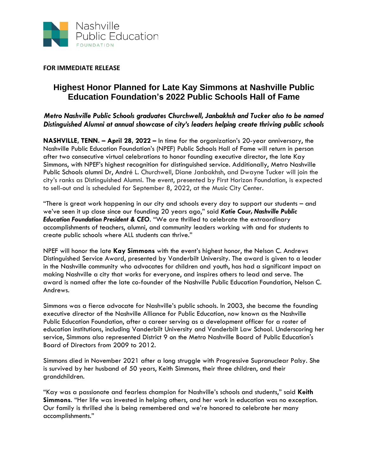

**FOR IMMEDIATE RELEASE**

## **Highest Honor Planned for Late Kay Simmons at Nashville Public Education Foundation's 2022 Public Schools Hall of Fame**

*Metro Nashville Public Schools graduates Churchwell, Janbakhsh and Tucker also to be named Distinguished Alumni at annual showcase of city's leaders helping create thriving public schools*

**NASHVILLE, TENN. – April 28, 2022 –** In time for the organization's 20-year anniversary, the Nashville Public Education Foundation's (NPEF) Public Schools Hall of Fame will return in person after two consecutive virtual celebrations to honor founding executive director, the late Kay Simmons, with NPEF's highest recognition for distinguished service. Additionally, Metro Nashville Public Schools alumni Dr, André L. Churchwell, Diane Janbakhsh, and Dwayne Tucker will join the city's ranks as Distinguished Alumni. The event, presented by First Horizon Foundation, is expected to sell-out and is scheduled for September 8, 2022, at the Music City Center.

"There is great work happening in our city and schools every day to support our students – and we've seen it up close since our founding 20 years ago," said *Katie Cour, Nashville Public Education Foundation President & CEO*. "We are thrilled to celebrate the extraordinary accomplishments of teachers, alumni, and community leaders working with and for students to create public schools where ALL students can thrive."

NPEF will honor the late **Kay Simmons** with the event's highest honor, the Nelson C. Andrews Distinguished Service Award, presented by Vanderbilt University. The award is given to a leader in the Nashville community who advocates for children and youth, has had a significant impact on making Nashville a city that works for everyone, and inspires others to lead and serve. The award is named after the late co-founder of the Nashville Public Education Foundation, Nelson C. Andrews.

Simmons was a fierce advocate for Nashville's public schools. In 2003, she became the founding executive director of the Nashville Alliance for Public Education, now known as the Nashville Public Education Foundation, after a career serving as a development officer for a roster of education institutions, including Vanderbilt University and Vanderbilt Law School. Underscoring her service, Simmons also represented District 9 on the Metro Nashville Board of Public Education's Board of Directors from 2009 to 2012.

Simmons died in November 2021 after a long struggle with Progressive Supranuclear Palsy. She is survived by her husband of 50 years, Keith Simmons, their three children, and their grandchildren.

"Kay was a passionate and fearless champion for Nashville's schools and students," said **Keith Simmons**. "Her life was invested in helping others, and her work in education was no exception. Our family is thrilled she is being remembered and we're honored to celebrate her many accomplishments."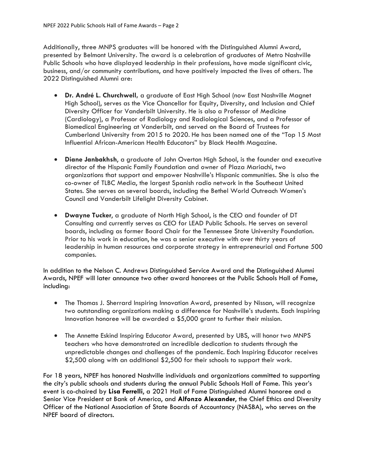Additionally, three MNPS graduates will be honored with the Distinguished Alumni Award, presented by Belmont University. The award is a celebration of graduates of Metro Nashville Public Schools who have displayed leadership in their professions, have made significant civic, business, and/or community contributions, and have positively impacted the lives of others. The 2022 Distinguished Alumni are:

- **Dr. André L. Churchwell,** a graduate of East High School (now East Nashville Magnet High School), serves as the Vice Chancellor for Equity, Diversity, and Inclusion and Chief Diversity Officer for Vanderbilt University. He is also a Professor of Medicine (Cardiology), a Professor of Radiology and Radiological Sciences, and a Professor of Biomedical Engineering at Vanderbilt, and served on the Board of Trustees for Cumberland University from 2015 to 2020. He has been named one of the "Top 15 Most Influential African-American Health Educators" by Black Health Magazine.
- **Diane Janbakhsh**, a graduate of John Overton High School, is the founder and executive director of the Hispanic Family Foundation and owner of Plaza Mariachi, two organizations that support and empower Nashville's Hispanic communities. She is also the co-owner of TLBC Media, the largest Spanish radio network in the Southeast United States. She serves on several boards, including the Bethel World Outreach Women's Council and Vanderbilt Lifelight Diversity Cabinet.
- **Dwayne Tucker**, a graduate of North High School, is the CEO and founder of DT Consulting and currently serves as CEO for LEAD Public Schools. He serves on several boards, including as former Board Chair for the Tennessee State University Foundation. Prior to his work in education, he was a senior executive with over thirty years of leadership in human resources and corporate strategy in entrepreneurial and Fortune 500 companies.

In addition to the Nelson C. Andrews Distinguished Service Award and the Distinguished Alumni Awards, NPEF will later announce two other award honorees at the Public Schools Hall of Fame, including:

- The Thomas J. Sherrard Inspiring Innovation Award, presented by Nissan, will recognize two outstanding organizations making a difference for Nashville's students. Each Inspiring Innovation honoree will be awarded a \$5,000 grant to further their mission.
- The Annette Eskind Inspiring Educator Award, presented by UBS, will honor two MNPS teachers who have demonstrated an incredible dedication to students through the unpredictable changes and challenges of the pandemic. Each Inspiring Educator receives \$2,500 along with an additional \$2,500 for their schools to support their work.

For 18 years, NPEF has honored Nashville individuals and organizations committed to supporting the city's public schools and students during the annual Public Schools Hall of Fame. This year's event is co-chaired by **Lisa Ferrelli**, a 2021 Hall of Fame Distinguished Alumni honoree and a Senior Vice President at Bank of America, and **Alfonzo Alexander**, the Chief Ethics and Diversity Officer of the National Association of State Boards of Accountancy (NASBA), who serves on the NPEF board of directors.